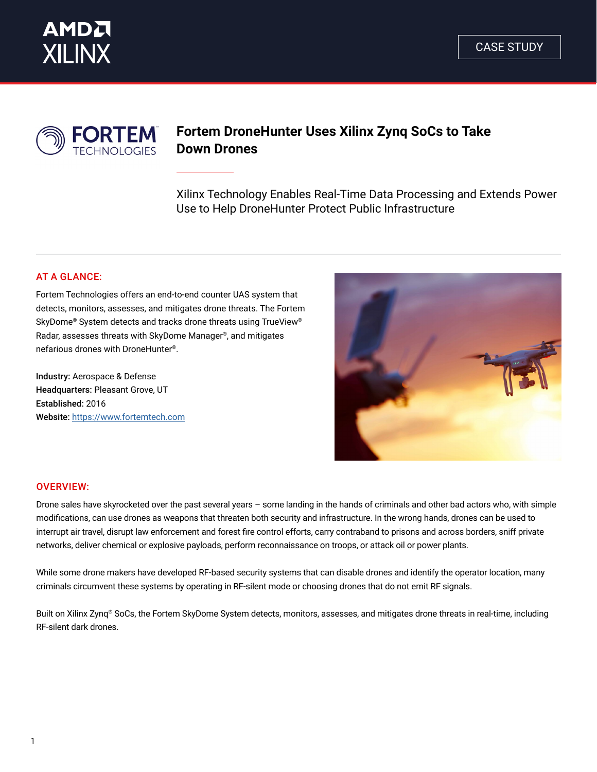



# **Fortem DroneHunter Uses Xilinx Zynq SoCs to Take Down Drones**

Xilinx Technology Enables Real-Time Data Processing and Extends Power Use to Help DroneHunter Protect Public Infrastructure

## AT A GLANCE:

Fortem Technologies offers an end-to-end counter UAS system that detects, monitors, assesses, and mitigates drone threats. The Fortem SkyDome® System detects and tracks drone threats using TrueView® Radar, assesses threats with SkyDome Manager®, and mitigates nefarious drones with DroneHunter®.

Industry: Aerospace & Defense Headquarters: Pleasant Grove, UT Established: 2016 Website: <https://www.fortemtech.com>



#### OVERVIEW:

Drone sales have skyrocketed over the past several years – some landing in the hands of criminals and other bad actors who, with simple modifications, can use drones as weapons that threaten both security and infrastructure. In the wrong hands, drones can be used to interrupt air travel, disrupt law enforcement and forest fire control efforts, carry contraband to prisons and across borders, sniff private networks, deliver chemical or explosive payloads, perform reconnaissance on troops, or attack oil or power plants.

While some drone makers have developed RF-based security systems that can disable drones and identify the operator location, many criminals circumvent these systems by operating in RF-silent mode or choosing drones that do not emit RF signals.

Built on Xilinx Zynq® SoCs, the Fortem SkyDome System detects, monitors, assesses, and mitigates drone threats in real-time, including RF-silent dark drones.